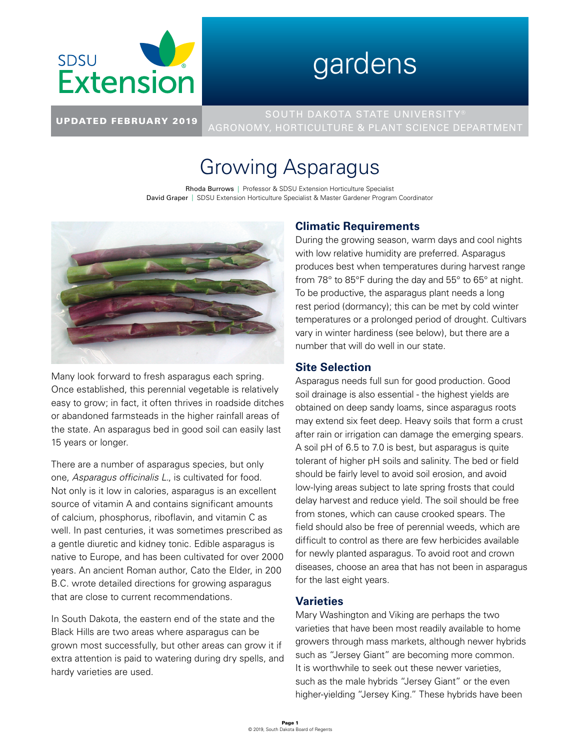

# gardens

UPDATED FEBRUARY 2019 AGRONOMY, HORTICULTURE & PLANT SCIENCE DEPARTMENT

# Growing Asparagus

Rhoda Burrows | Professor & SDSU Extension Horticulture Specialist David Graper | SDSU Extension Horticulture Specialist & Master Gardener Program Coordinator



Many look forward to fresh asparagus each spring. Once established, this perennial vegetable is relatively easy to grow; in fact, it often thrives in roadside ditches or abandoned farmsteads in the higher rainfall areas of the state. An asparagus bed in good soil can easily last 15 years or longer.

There are a number of asparagus species, but only one, *Asparagus officinalis L.*, is cultivated for food. Not only is it low in calories, asparagus is an excellent source of vitamin A and contains significant amounts of calcium, phosphorus, riboflavin, and vitamin C as well. In past centuries, it was sometimes prescribed as a gentle diuretic and kidney tonic. Edible asparagus is native to Europe, and has been cultivated for over 2000 years. An ancient Roman author, Cato the Elder, in 200 B.C. wrote detailed directions for growing asparagus that are close to current recommendations.

In South Dakota, the eastern end of the state and the Black Hills are two areas where asparagus can be grown most successfully, but other areas can grow it if extra attention is paid to watering during dry spells, and hardy varieties are used.

# **Climatic Requirements**

During the growing season, warm days and cool nights with low relative humidity are preferred. Asparagus produces best when temperatures during harvest range from 78° to 85°F during the day and 55° to 65° at night. To be productive, the asparagus plant needs a long rest period (dormancy); this can be met by cold winter temperatures or a prolonged period of drought. Cultivars vary in winter hardiness (see below), but there are a number that will do well in our state.

## **Site Selection**

Asparagus needs full sun for good production. Good soil drainage is also essential - the highest yields are obtained on deep sandy loams, since asparagus roots may extend six feet deep. Heavy soils that form a crust after rain or irrigation can damage the emerging spears. A soil pH of 6.5 to 7.0 is best, but asparagus is quite tolerant of higher pH soils and salinity. The bed or field should be fairly level to avoid soil erosion, and avoid low-lying areas subject to late spring frosts that could delay harvest and reduce yield. The soil should be free from stones, which can cause crooked spears. The field should also be free of perennial weeds, which are difficult to control as there are few herbicides available for newly planted asparagus. To avoid root and crown diseases, choose an area that has not been in asparagus for the last eight years.

#### **Varieties**

Mary Washington and Viking are perhaps the two varieties that have been most readily available to home growers through mass markets, although newer hybrids such as "Jersey Giant" are becoming more common. It is worthwhile to seek out these newer varieties, such as the male hybrids "Jersey Giant" or the even higher-yielding "Jersey King." These hybrids have been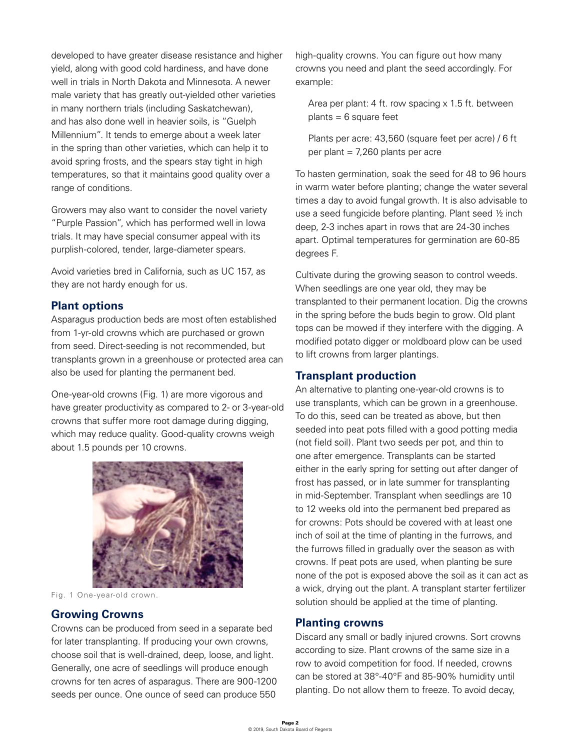developed to have greater disease resistance and higher yield, along with good cold hardiness, and have done well in trials in North Dakota and Minnesota. A newer male variety that has greatly out-yielded other varieties in many northern trials (including Saskatchewan), and has also done well in heavier soils, is "Guelph Millennium". It tends to emerge about a week later in the spring than other varieties, which can help it to avoid spring frosts, and the spears stay tight in high temperatures, so that it maintains good quality over a range of conditions.

Growers may also want to consider the novel variety "Purple Passion", which has performed well in Iowa trials. It may have special consumer appeal with its purplish-colored, tender, large-diameter spears.

Avoid varieties bred in California, such as UC 157, as they are not hardy enough for us.

#### **Plant options**

Asparagus production beds are most often established from 1-yr-old crowns which are purchased or grown from seed. Direct-seeding is not recommended, but transplants grown in a greenhouse or protected area can also be used for planting the permanent bed.

One-year-old crowns (Fig. 1) are more vigorous and have greater productivity as compared to 2- or 3-year-old crowns that suffer more root damage during digging, which may reduce quality. Good-quality crowns weigh about 1.5 pounds per 10 crowns.



Fig. 1 One-year-old crown.

#### **Growing Crowns**

Crowns can be produced from seed in a separate bed for later transplanting. If producing your own crowns, choose soil that is well-drained, deep, loose, and light. Generally, one acre of seedlings will produce enough crowns for ten acres of asparagus. There are 900-1200 seeds per ounce. One ounce of seed can produce 550

high-quality crowns. You can figure out how many crowns you need and plant the seed accordingly. For example:

Area per plant: 4 ft. row spacing x 1.5 ft. between  $plants = 6 square feet$ 

Plants per acre: 43,560 (square feet per acre) / 6 ft per plant = 7,260 plants per acre

To hasten germination, soak the seed for 48 to 96 hours in warm water before planting; change the water several times a day to avoid fungal growth. It is also advisable to use a seed fungicide before planting. Plant seed ½ inch deep, 2-3 inches apart in rows that are 24-30 inches apart. Optimal temperatures for germination are 60-85 degrees F.

Cultivate during the growing season to control weeds. When seedlings are one year old, they may be transplanted to their permanent location. Dig the crowns in the spring before the buds begin to grow. Old plant tops can be mowed if they interfere with the digging. A modified potato digger or moldboard plow can be used to lift crowns from larger plantings.

#### **Transplant production**

An alternative to planting one-year-old crowns is to use transplants, which can be grown in a greenhouse. To do this, seed can be treated as above, but then seeded into peat pots filled with a good potting media (not field soil). Plant two seeds per pot, and thin to one after emergence. Transplants can be started either in the early spring for setting out after danger of frost has passed, or in late summer for transplanting in mid-September. Transplant when seedlings are 10 to 12 weeks old into the permanent bed prepared as for crowns: Pots should be covered with at least one inch of soil at the time of planting in the furrows, and the furrows filled in gradually over the season as with crowns. If peat pots are used, when planting be sure none of the pot is exposed above the soil as it can act as a wick, drying out the plant. A transplant starter fertilizer solution should be applied at the time of planting.

#### **Planting crowns**

Discard any small or badly injured crowns. Sort crowns according to size. Plant crowns of the same size in a row to avoid competition for food. If needed, crowns can be stored at 38°-40°F and 85-90% humidity until planting. Do not allow them to freeze. To avoid decay,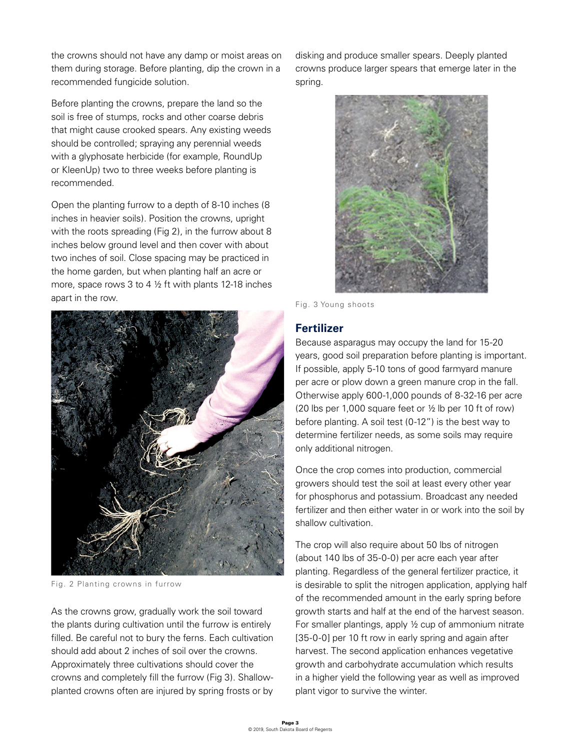the crowns should not have any damp or moist areas on them during storage. Before planting, dip the crown in a recommended fungicide solution.

Before planting the crowns, prepare the land so the soil is free of stumps, rocks and other coarse debris that might cause crooked spears. Any existing weeds should be controlled; spraying any perennial weeds with a glyphosate herbicide (for example, RoundUp or KleenUp) two to three weeks before planting is recommended.

Open the planting furrow to a depth of 8-10 inches (8 inches in heavier soils). Position the crowns, upright with the roots spreading (Fig 2), in the furrow about 8 inches below ground level and then cover with about two inches of soil. Close spacing may be practiced in the home garden, but when planting half an acre or more, space rows 3 to 4 ½ ft with plants 12-18 inches apart in the row.



Fig. 2 Planting crowns in furrow

As the crowns grow, gradually work the soil toward the plants during cultivation until the furrow is entirely filled. Be careful not to bury the ferns. Each cultivation should add about 2 inches of soil over the crowns. Approximately three cultivations should cover the crowns and completely fill the furrow (Fig 3). Shallowplanted crowns often are injured by spring frosts or by disking and produce smaller spears. Deeply planted crowns produce larger spears that emerge later in the spring.



Fig. 3 Young shoots

#### **Fertilizer**

Because asparagus may occupy the land for 15-20 years, good soil preparation before planting is important. If possible, apply 5-10 tons of good farmyard manure per acre or plow down a green manure crop in the fall. Otherwise apply 600-1,000 pounds of 8-32-16 per acre (20 lbs per 1,000 square feet or ½ lb per 10 ft of row) before planting. A soil test (0-12") is the best way to determine fertilizer needs, as some soils may require only additional nitrogen.

Once the crop comes into production, commercial growers should test the soil at least every other year for phosphorus and potassium. Broadcast any needed fertilizer and then either water in or work into the soil by shallow cultivation.

The crop will also require about 50 lbs of nitrogen (about 140 lbs of 35-0-0) per acre each year after planting. Regardless of the general fertilizer practice, it is desirable to split the nitrogen application, applying half of the recommended amount in the early spring before growth starts and half at the end of the harvest season. For smaller plantings, apply ½ cup of ammonium nitrate [35-0-0] per 10 ft row in early spring and again after harvest. The second application enhances vegetative growth and carbohydrate accumulation which results in a higher yield the following year as well as improved plant vigor to survive the winter.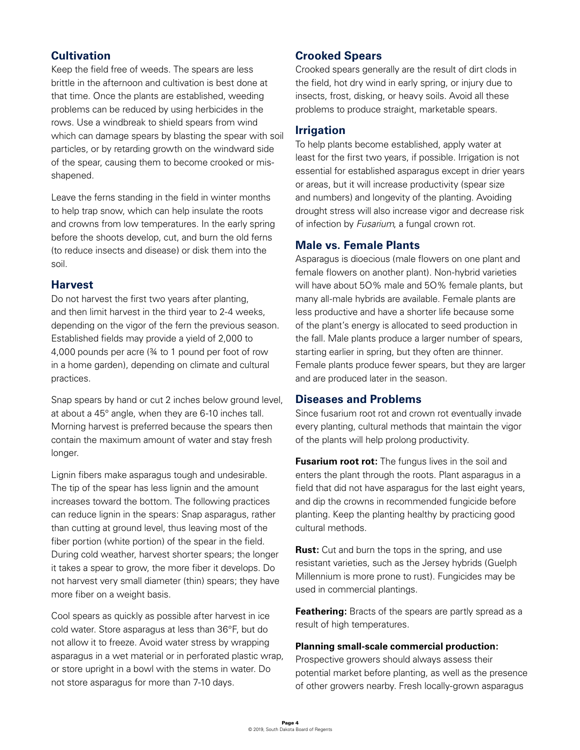## **Cultivation**

Keep the field free of weeds. The spears are less brittle in the afternoon and cultivation is best done at that time. Once the plants are established, weeding problems can be reduced by using herbicides in the rows. Use a windbreak to shield spears from wind which can damage spears by blasting the spear with soil particles, or by retarding growth on the windward side of the spear, causing them to become crooked or misshapened.

Leave the ferns standing in the field in winter months to help trap snow, which can help insulate the roots and crowns from low temperatures. In the early spring before the shoots develop, cut, and burn the old ferns (to reduce insects and disease) or disk them into the soil.

#### **Harvest**

Do not harvest the first two years after planting, and then limit harvest in the third year to 2-4 weeks, depending on the vigor of the fern the previous season. Established fields may provide a yield of 2,000 to 4,000 pounds per acre (¾ to 1 pound per foot of row in a home garden), depending on climate and cultural practices.

Snap spears by hand or cut 2 inches below ground level, at about a 45° angle, when they are 6-10 inches tall. Morning harvest is preferred because the spears then contain the maximum amount of water and stay fresh longer.

Lignin fibers make asparagus tough and undesirable. The tip of the spear has less lignin and the amount increases toward the bottom. The following practices can reduce lignin in the spears: Snap asparagus, rather than cutting at ground level, thus leaving most of the fiber portion (white portion) of the spear in the field. During cold weather, harvest shorter spears; the longer it takes a spear to grow, the more fiber it develops. Do not harvest very small diameter (thin) spears; they have more fiber on a weight basis.

Cool spears as quickly as possible after harvest in ice cold water. Store asparagus at less than 36°F, but do not allow it to freeze. Avoid water stress by wrapping asparagus in a wet material or in perforated plastic wrap, or store upright in a bowl with the stems in water. Do not store asparagus for more than 7-10 days.

#### **Crooked Spears**

Crooked spears generally are the result of dirt clods in the field, hot dry wind in early spring, or injury due to insects, frost, disking, or heavy soils. Avoid all these problems to produce straight, marketable spears.

#### **Irrigation**

To help plants become established, apply water at least for the first two years, if possible. Irrigation is not essential for established asparagus except in drier years or areas, but it will increase productivity (spear size and numbers) and longevity of the planting. Avoiding drought stress will also increase vigor and decrease risk of infection by *Fusarium*, a fungal crown rot.

#### **Male vs. Female Plants**

Asparagus is dioecious (male flowers on one plant and female flowers on another plant). Non-hybrid varieties will have about 5O% male and 5O% female plants, but many all-male hybrids are available. Female plants are less productive and have a shorter life because some of the plant's energy is allocated to seed production in the fall. Male plants produce a larger number of spears, starting earlier in spring, but they often are thinner. Female plants produce fewer spears, but they are larger and are produced later in the season.

#### **Diseases and Problems**

Since fusarium root rot and crown rot eventually invade every planting, cultural methods that maintain the vigor of the plants will help prolong productivity.

**Fusarium root rot:** The fungus lives in the soil and enters the plant through the roots. Plant asparagus in a field that did not have asparagus for the last eight years, and dip the crowns in recommended fungicide before planting. Keep the planting healthy by practicing good cultural methods.

**Rust:** Cut and burn the tops in the spring, and use resistant varieties, such as the Jersey hybrids (Guelph Millennium is more prone to rust). Fungicides may be used in commercial plantings.

**Feathering:** Bracts of the spears are partly spread as a result of high temperatures.

#### **Planning small-scale commercial production:**

Prospective growers should always assess their potential market before planting, as well as the presence of other growers nearby. Fresh locally-grown asparagus